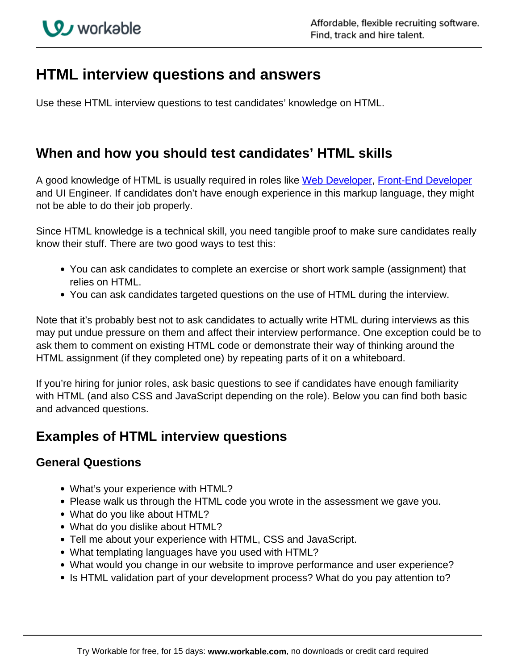# **HTML interview questions and answers**

Use these HTML interview questions to test candidates' knowledge on HTML.

### **When and how you should test candidates' HTML skills**

A good knowledge of HTML is usually required in roles like [Web Developer,](https://resources.workable.com/web-developer-job-description) Front-End Developer and UI Engineer. If candidates don't have enough experience in this markup language, they might not be able to do their job properly.

Since HTML knowledge is a technical skill, you need tangible proof to make sure candidates really know their stuff. There are two good ways to test this:

- You can ask candidates to complete an exercise or short work sample (assignment) that relies on HTML.
- You can ask candidates targeted questions on the use of HTML during the interview.

Note that it's probably best not to ask candidates to actually write HTML during interviews as this may put undue pressure on them and affect their interview performance. One exception could be to ask them to comment on existing HTML code or demonstrate their way of thinking around the HTML assignment (if they completed one) by repeating parts of it on a whiteboard.

If you're hiring for junior roles, ask basic questions to see if candidates have enough familiarity with HTML (and also CSS and JavaScript depending on the role). Below you can find both basic and advanced questions.

### **Examples of HTML interview questions**

#### **General Questions**

- What's your experience with HTML?
- Please walk us through the HTML code you wrote in the assessment we gave you.
- What do you like about HTML?
- What do you dislike about HTML?
- Tell me about your experience with HTML, CSS and JavaScript.
- What templating languages have you used with HTML?
- What would you change in our website to improve performance and user experience?
- Is HTML validation part of your development process? What do you pay attention to?